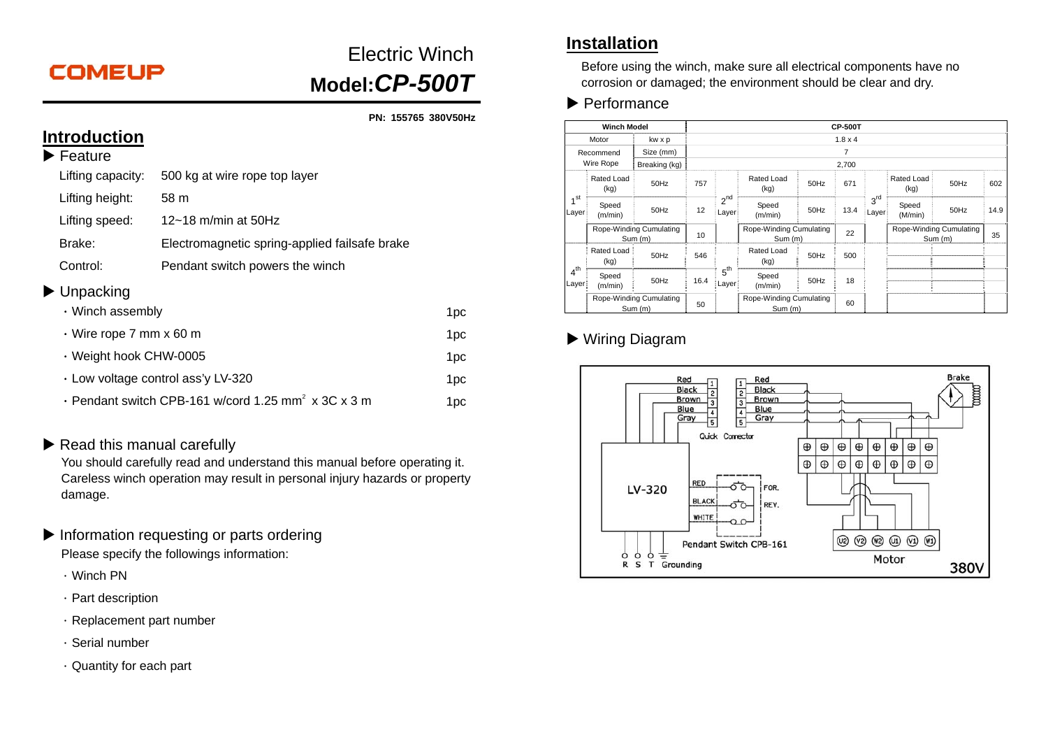# **COMEUP**

# Electric Winch**Model:***CP-500T*

**PN: 155765 380V50Hz** 

#### **Introduction Feature**

| i catulc          |                                               |
|-------------------|-----------------------------------------------|
| Lifting capacity: | 500 kg at wire rope top layer                 |
| Lifting height:   | 58 m                                          |
| Lifting speed:    | 12~18 m/min at 50Hz                           |
| Brake:            | Electromagnetic spring-applied failsafe brake |
| Control:          | Pendant switch powers the winch               |
|                   |                                               |

#### ▶ Unpacking

| $\cdot$ Winch assembly                                          | 1pc. |
|-----------------------------------------------------------------|------|
| $\cdot$ Wire rope 7 mm x 60 m                                   | 1pc. |
| ⋅ Weight hook CHW-0005                                          | 1pc. |
| $\cdot$ Low voltage control ass'y LV-320                        | 1pc. |
| · Pendant switch CPB-161 w/cord 1.25 mm <sup>2</sup> x 3C x 3 m | 1pc. |

#### Read this manual carefully

You should carefully read and understand this manual before operating it. Careless winch operation may result in personal injury hazards or property damage.

- Information requesting or parts ordering Please specify the followings information:
	- .Winch PN
	- .Part description
	- $\cdot$  Replacement part number
	- .Serial number
	- .Quantity for each part

#### **Installation**

Before using the winch, make sure all electrical components have no corrosion or damaged; the environment should be clear and dry.

 $\blacktriangleright$  Performance

| <b>Winch Model</b>       |                    |                                    | <b>CP-500T</b> |                                          |                                    |      |      |                                    |                    |      |      |
|--------------------------|--------------------|------------------------------------|----------------|------------------------------------------|------------------------------------|------|------|------------------------------------|--------------------|------|------|
| Motor<br>kw x p          |                    |                                    | $1.8 \times 4$ |                                          |                                    |      |      |                                    |                    |      |      |
| Recommend<br>Wire Rope   |                    | Size (mm)                          | 7              |                                          |                                    |      |      |                                    |                    |      |      |
|                          |                    | Breaking (kg)                      | 2.700          |                                          |                                    |      |      |                                    |                    |      |      |
| 4 <sup>st</sup><br>Layer | Rated Load<br>(kg) | 50Hz                               | 757            | $2^{\text{nd}}$<br>Layer                 | Rated Load<br>(kg)                 | 50Hz | 671  | 3 <sup>rd</sup><br>Layer           | Rated Load<br>(kg) | 50Hz | 602  |
|                          | Speed<br>(m/min)   | 50Hz                               | 12             |                                          | Speed<br>(m/min)                   | 50Hz | 13.4 |                                    | Speed<br>(M/min)   | 50Hz | 14.9 |
|                          |                    | Rope-Winding Cumulating<br>Sum (m) |                | Rope-Winding Cumulating<br>10<br>Sum (m) |                                    | 22   |      | Rope-Winding Cumulating<br>Sum (m) |                    | 35   |      |
|                          | Rated Load<br>(kg) | 50Hz                               | 546            | 5 <sup>th</sup><br>Layer                 | Rated Load<br>(kg)                 | 50Hz | 500  |                                    |                    |      |      |
| $4^{th}$<br>Layer        | Speed<br>(m/min)   | 50Hz                               | 16.4           |                                          | Speed<br>(m/min)                   | 50Hz | 18   |                                    |                    |      |      |
|                          |                    | Rope-Winding Cumulating<br>Sum (m) | 50             |                                          | Rope-Winding Cumulating<br>Sum (m) |      | 60   |                                    |                    |      |      |

### Wiring Diagram